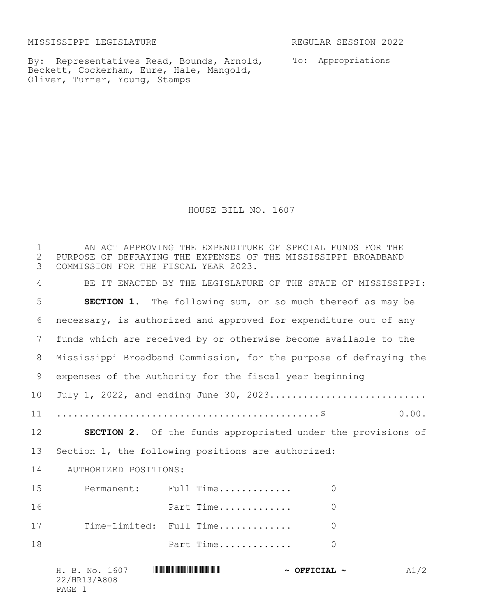MISSISSIPPI LEGISLATURE REGULAR SESSION 2022

By: Representatives Read, Bounds, Arnold, To: Appropriations Beckett, Cockerham, Eure, Hale, Mangold, Oliver, Turner, Young, Stamps

HOUSE BILL NO. 1607

 AN ACT APPROVING THE EXPENDITURE OF SPECIAL FUNDS FOR THE 2 PURPOSE OF DEFRAYING THE EXPENSES OF THE MISSISSIPPI BROADBAND<br>3 COMMISSION FOR THE FISCAL YEAR 2023. COMMISSION FOR THE FISCAL YEAR 2023. BE IT ENACTED BY THE LEGISLATURE OF THE STATE OF MISSISSIPPI: **SECTION 1.** The following sum, or so much thereof as may be necessary, is authorized and approved for expenditure out of any funds which are received by or otherwise become available to the Mississippi Broadband Commission, for the purpose of defraying the expenses of the Authority for the fiscal year beginning 10 July 1, 2022, and ending June 30, 2023.............................. ...............................................\$ 0.00. **SECTION 2.** Of the funds appropriated under the provisions of Section 1, the following positions are authorized: 14 AUTHORIZED POSITIONS: Permanent: Full Time............. 0 Part Time............. 0 Time-Limited: Full Time............. 0 **Part Time..............** 0

H. B. No. 1607 \*HR13/A808\* **~ OFFICIAL ~** A1/2 22/HR13/A808 PAGE 1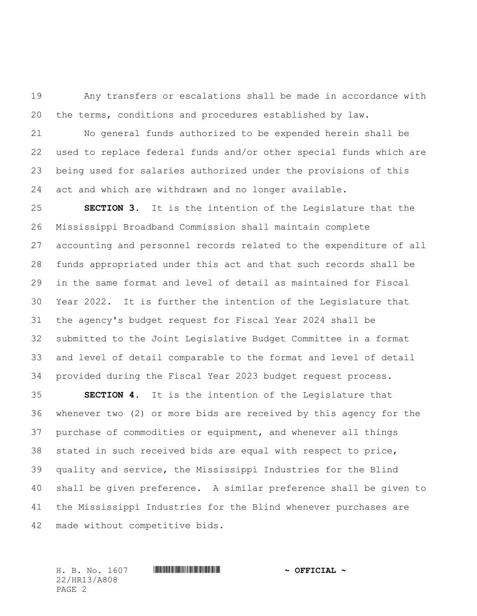Any transfers or escalations shall be made in accordance with the terms, conditions and procedures established by law.

 No general funds authorized to be expended herein shall be used to replace federal funds and/or other special funds which are being used for salaries authorized under the provisions of this act and which are withdrawn and no longer available.

 **SECTION 3.** It is the intention of the Legislature that the Mississippi Broadband Commission shall maintain complete accounting and personnel records related to the expenditure of all funds appropriated under this act and that such records shall be in the same format and level of detail as maintained for Fiscal Year 2022. It is further the intention of the Legislature that the agency's budget request for Fiscal Year 2024 shall be submitted to the Joint Legislative Budget Committee in a format and level of detail comparable to the format and level of detail provided during the Fiscal Year 2023 budget request process.

 **SECTION 4.** It is the intention of the Legislature that whenever two (2) or more bids are received by this agency for the purchase of commodities or equipment, and whenever all things stated in such received bids are equal with respect to price, quality and service, the Mississippi Industries for the Blind shall be given preference. A similar preference shall be given to the Mississippi Industries for the Blind whenever purchases are made without competitive bids.

H. B. No. 1607 \*HR13/A808\* **~ OFFICIAL ~** 22/HR13/A808 PAGE 2